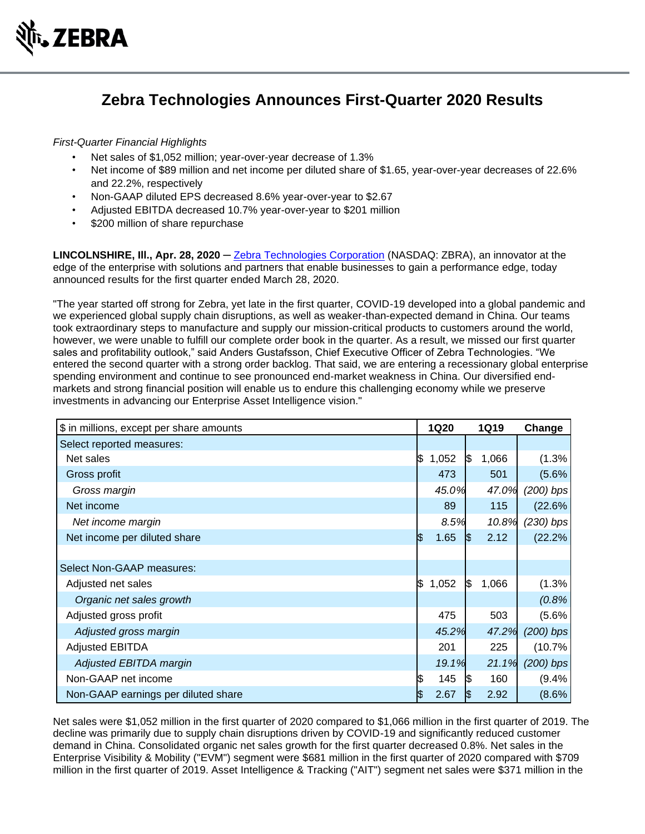

# **Zebra Technologies Announces First-Quarter 2020 Results**

# *First-Quarter Financial Highlights*

- Net sales of \$1,052 million; year-over-year decrease of 1.3%
- Net income of \$89 million and net income per diluted share of \$1.65, year-over-year decreases of 22.6% and 22.2%, respectively
- Non-GAAP diluted EPS decreased 8.6% year-over-year to \$2.67
- Adjusted EBITDA decreased 10.7% year-over-year to \$201 million
- \$200 million of share repurchase

**LINCOLNSHIRE, Ill., Apr. 28, 2020** ─ [Zebra Technologies Corporation](https://www.zebra.com/) (NASDAQ: ZBRA), an innovator at the edge of the enterprise with solutions and partners that enable businesses to gain a performance edge, today announced results for the first quarter ended March 28, 2020.

"The year started off strong for Zebra, yet late in the first quarter, COVID-19 developed into a global pandemic and we experienced global supply chain disruptions, as well as weaker-than-expected demand in China. Our teams took extraordinary steps to manufacture and supply our mission-critical products to customers around the world, however, we were unable to fulfill our complete order book in the quarter. As a result, we missed our first quarter sales and profitability outlook," said Anders Gustafsson, Chief Executive Officer of Zebra Technologies. "We entered the second quarter with a strong order backlog. That said, we are entering a recessionary global enterprise spending environment and continue to see pronounced end-market weakness in China. Our diversified endmarkets and strong financial position will enable us to endure this challenging economy while we preserve investments in advancing our Enterprise Asset Intelligence vision."

| \$ in millions, except per share amounts |     | <b>1Q20</b> |     | <b>1Q19</b> | Change      |
|------------------------------------------|-----|-------------|-----|-------------|-------------|
| Select reported measures:                |     |             |     |             |             |
| Net sales                                | 1\$ | 1,052       | \$  | 1,066       | (1.3%       |
| Gross profit                             |     | 473         |     | 501         | (5.6%       |
| Gross margin                             |     | 45.0%       |     | 47.0%       | $(200)$ bps |
| Net income                               |     | 89          |     | 115         | (22.6%      |
| Net income margin                        |     | 8.5%        |     | 10.8%       | $(230)$ bps |
| Net income per diluted share             | \$  | 1.65        | I\$ | 2.12        | (22.2%      |
|                                          |     |             |     |             |             |
| Select Non-GAAP measures:                |     |             |     |             |             |
| Adjusted net sales                       | I\$ | 1,052       | 1\$ | 1,066       | (1.3%       |
| Organic net sales growth                 |     |             |     |             | (0.8%       |
| Adjusted gross profit                    |     | 475         |     | 503         | (5.6%       |
| Adjusted gross margin                    |     | 45.2%       |     | 47.2%       | $(200)$ bps |
| <b>Adjusted EBITDA</b>                   |     | 201         |     | 225         | (10.7%      |
| Adjusted EBITDA margin                   |     | 19.1%       |     | 21.1%       | $(200)$ bps |
| Non-GAAP net income                      | \$  | 145         | \$  | 160         | (9.4%       |
| Non-GAAP earnings per diluted share      | \$  | 2.67        | 1\$ | 2.92        | (8.6%       |

Net sales were \$1,052 million in the first quarter of 2020 compared to \$1,066 million in the first quarter of 2019. The decline was primarily due to supply chain disruptions driven by COVID-19 and significantly reduced customer demand in China. Consolidated organic net sales growth for the first quarter decreased 0.8%. Net sales in the Enterprise Visibility & Mobility ("EVM") segment were \$681 million in the first quarter of 2020 compared with \$709 million in the first quarter of 2019. Asset Intelligence & Tracking ("AIT") segment net sales were \$371 million in the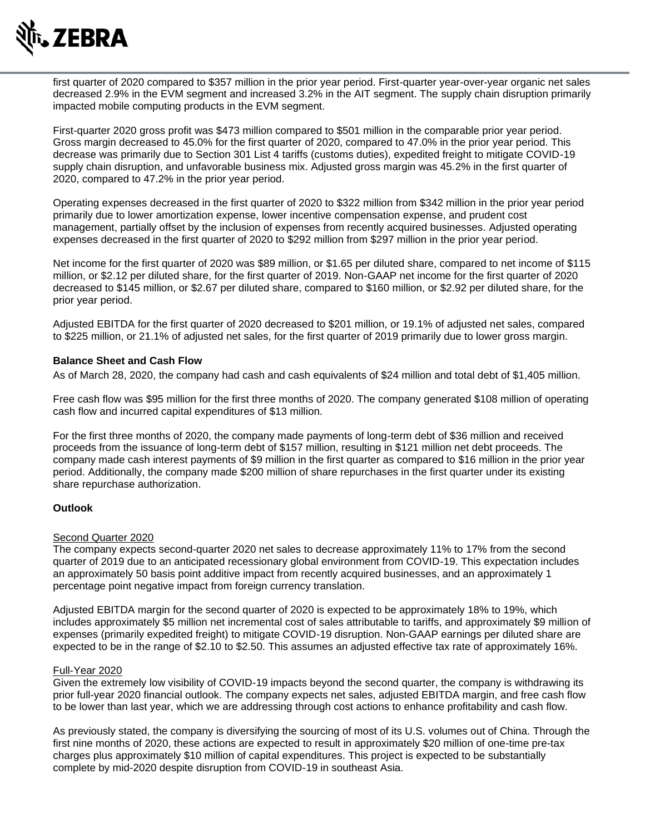

first quarter of 2020 compared to \$357 million in the prior year period. First-quarter year-over-year organic net sales decreased 2.9% in the EVM segment and increased 3.2% in the AIT segment. The supply chain disruption primarily impacted mobile computing products in the EVM segment.

First-quarter 2020 gross profit was \$473 million compared to \$501 million in the comparable prior year period. Gross margin decreased to 45.0% for the first quarter of 2020, compared to 47.0% in the prior year period. This decrease was primarily due to Section 301 List 4 tariffs (customs duties), expedited freight to mitigate COVID-19 supply chain disruption, and unfavorable business mix. Adjusted gross margin was 45.2% in the first quarter of 2020, compared to 47.2% in the prior year period.

Operating expenses decreased in the first quarter of 2020 to \$322 million from \$342 million in the prior year period primarily due to lower amortization expense, lower incentive compensation expense, and prudent cost management, partially offset by the inclusion of expenses from recently acquired businesses. Adjusted operating expenses decreased in the first quarter of 2020 to \$292 million from \$297 million in the prior year period.

Net income for the first quarter of 2020 was \$89 million, or \$1.65 per diluted share, compared to net income of \$115 million, or \$2.12 per diluted share, for the first quarter of 2019. Non-GAAP net income for the first quarter of 2020 decreased to \$145 million, or \$2.67 per diluted share, compared to \$160 million, or \$2.92 per diluted share, for the prior year period.

Adjusted EBITDA for the first quarter of 2020 decreased to \$201 million, or 19.1% of adjusted net sales, compared to \$225 million, or 21.1% of adjusted net sales, for the first quarter of 2019 primarily due to lower gross margin.

#### **Balance Sheet and Cash Flow**

As of March 28, 2020, the company had cash and cash equivalents of \$24 million and total debt of \$1,405 million.

Free cash flow was \$95 million for the first three months of 2020. The company generated \$108 million of operating cash flow and incurred capital expenditures of \$13 million.

For the first three months of 2020, the company made payments of long-term debt of \$36 million and received proceeds from the issuance of long-term debt of \$157 million, resulting in \$121 million net debt proceeds. The company made cash interest payments of \$9 million in the first quarter as compared to \$16 million in the prior year period. Additionally, the company made \$200 million of share repurchases in the first quarter under its existing share repurchase authorization.

#### **Outlook**

#### Second Quarter 2020

The company expects second-quarter 2020 net sales to decrease approximately 11% to 17% from the second quarter of 2019 due to an anticipated recessionary global environment from COVID-19. This expectation includes an approximately 50 basis point additive impact from recently acquired businesses, and an approximately 1 percentage point negative impact from foreign currency translation.

Adjusted EBITDA margin for the second quarter of 2020 is expected to be approximately 18% to 19%, which includes approximately \$5 million net incremental cost of sales attributable to tariffs, and approximately \$9 million of expenses (primarily expedited freight) to mitigate COVID-19 disruption. Non-GAAP earnings per diluted share are expected to be in the range of \$2.10 to \$2.50. This assumes an adjusted effective tax rate of approximately 16%.

#### Full-Year 2020

Given the extremely low visibility of COVID-19 impacts beyond the second quarter, the company is withdrawing its prior full-year 2020 financial outlook. The company expects net sales, adjusted EBITDA margin, and free cash flow to be lower than last year, which we are addressing through cost actions to enhance profitability and cash flow.

As previously stated, the company is diversifying the sourcing of most of its U.S. volumes out of China. Through the first nine months of 2020, these actions are expected to result in approximately \$20 million of one-time pre-tax charges plus approximately \$10 million of capital expenditures. This project is expected to be substantially complete by mid-2020 despite disruption from COVID-19 in southeast Asia.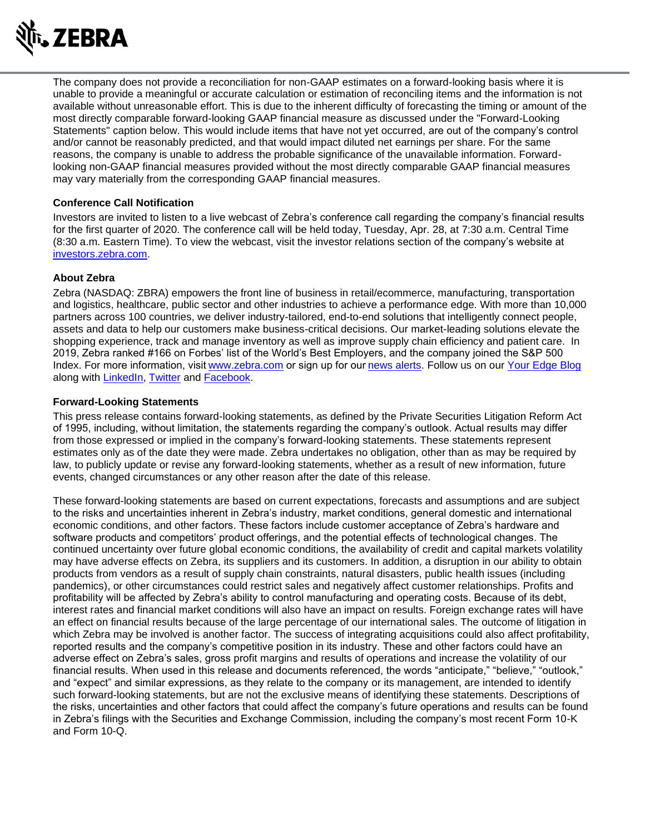

The company does not provide a reconciliation for non-GAAP estimates on a forward-looking basis where it is unable to provide a meaningful or accurate calculation or estimation of reconciling items and the information is not available without unreasonable effort. This is due to the inherent difficulty of forecasting the timing or amount of the most directly comparable forward-looking GAAP financial measure as discussed under the "Forward-Looking Statements" caption below. This would include items that have not yet occurred, are out of the company's control and/or cannot be reasonably predicted, and that would impact diluted net earnings per share. For the same reasons, the company is unable to address the probable significance of the unavailable information. Forwardlooking non-GAAP financial measures provided without the most directly comparable GAAP financial measures may vary materially from the corresponding GAAP financial measures.

#### **Conference Call Notification**

Investors are invited to listen to a live webcast of Zebra's conference call regarding the company's financial results for the first quarter of 2020. The conference call will be held today, Tuesday, Apr. 28, at 7:30 a.m. Central Time (8:30 a.m. Eastern Time). To view the webcast, visit the investor relations section of the company's website at [investors.zebra.com.](https://investors.zebra.com/)

#### **About Zebra**

Zebra (NASDAQ: ZBRA) empowers the front line of business in retail/ecommerce, manufacturing, transportation and logistics, healthcare, public sector and other industries to achieve a performance edge. With more than 10,000 partners across 100 countries, we deliver industry-tailored, end-to-end solutions that intelligently connect people, assets and data to help our customers make business-critical decisions. Our market-leading solutions elevate the shopping experience, track and manage inventory as well as improve supply chain efficiency and patient care. In 2019, Zebra ranked #166 on Forbes' list of the World's Best Employers, and the company joined the S&P 500 Index. For more information, visit www.zebra.com or sign up for our news alerts. Follow us on our [Your Edge Blog](http://www.zebra.com/blog) along with [LinkedIn,](https://www.linkedin.com/company/zebra-technologies) [Twitter](https://twitter.com/ZebraTechnology) and [Facebook.](https://www.facebook.com/ZebraTechnologiesGlobal)

#### **Forward-Looking Statements**

This press release contains forward-looking statements, as defined by the Private Securities Litigation Reform Act of 1995, including, without limitation, the statements regarding the company's outlook. Actual results may differ from those expressed or implied in the company's forward-looking statements. These statements represent estimates only as of the date they were made. Zebra undertakes no obligation, other than as may be required by law, to publicly update or revise any forward-looking statements, whether as a result of new information, future events, changed circumstances or any other reason after the date of this release.

These forward-looking statements are based on current expectations, forecasts and assumptions and are subject to the risks and uncertainties inherent in Zebra's industry, market conditions, general domestic and international economic conditions, and other factors. These factors include customer acceptance of Zebra's hardware and software products and competitors' product offerings, and the potential effects of technological changes. The continued uncertainty over future global economic conditions, the availability of credit and capital markets volatility may have adverse effects on Zebra, its suppliers and its customers. In addition, a disruption in our ability to obtain products from vendors as a result of supply chain constraints, natural disasters, public health issues (including pandemics), or other circumstances could restrict sales and negatively affect customer relationships. Profits and profitability will be affected by Zebra's ability to control manufacturing and operating costs. Because of its debt, interest rates and financial market conditions will also have an impact on results. Foreign exchange rates will have an effect on financial results because of the large percentage of our international sales. The outcome of litigation in which Zebra may be involved is another factor. The success of integrating acquisitions could also affect profitability, reported results and the company's competitive position in its industry. These and other factors could have an adverse effect on Zebra's sales, gross profit margins and results of operations and increase the volatility of our financial results. When used in this release and documents referenced, the words "anticipate," "believe," "outlook," and "expect" and similar expressions, as they relate to the company or its management, are intended to identify such forward-looking statements, but are not the exclusive means of identifying these statements. Descriptions of the risks, uncertainties and other factors that could affect the company's future operations and results can be found in Zebra's filings with the Securities and Exchange Commission, including the company's most recent Form 10-K and Form 10-Q.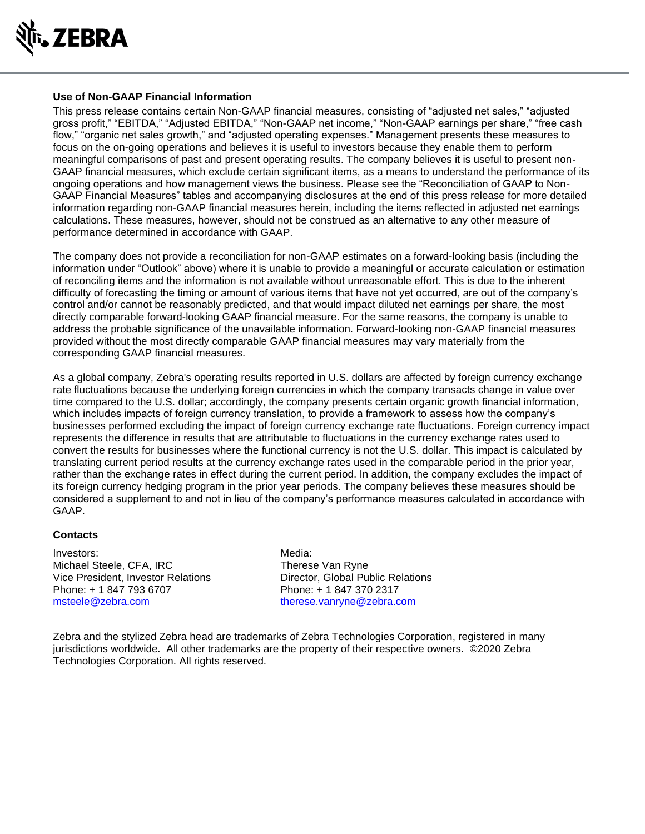

#### **Use of Non-GAAP Financial Information**

This press release contains certain Non-GAAP financial measures, consisting of "adjusted net sales," "adjusted gross profit," "EBITDA," "Adjusted EBITDA," "Non-GAAP net income," "Non-GAAP earnings per share," "free cash flow," "organic net sales growth," and "adjusted operating expenses." Management presents these measures to focus on the on-going operations and believes it is useful to investors because they enable them to perform meaningful comparisons of past and present operating results. The company believes it is useful to present non-GAAP financial measures, which exclude certain significant items, as a means to understand the performance of its ongoing operations and how management views the business. Please see the "Reconciliation of GAAP to Non-GAAP Financial Measures" tables and accompanying disclosures at the end of this press release for more detailed information regarding non-GAAP financial measures herein, including the items reflected in adjusted net earnings calculations. These measures, however, should not be construed as an alternative to any other measure of performance determined in accordance with GAAP.

The company does not provide a reconciliation for non-GAAP estimates on a forward-looking basis (including the information under "Outlook" above) where it is unable to provide a meaningful or accurate calculation or estimation of reconciling items and the information is not available without unreasonable effort. This is due to the inherent difficulty of forecasting the timing or amount of various items that have not yet occurred, are out of the company's control and/or cannot be reasonably predicted, and that would impact diluted net earnings per share, the most directly comparable forward-looking GAAP financial measure. For the same reasons, the company is unable to address the probable significance of the unavailable information. Forward-looking non-GAAP financial measures provided without the most directly comparable GAAP financial measures may vary materially from the corresponding GAAP financial measures.

As a global company, Zebra's operating results reported in U.S. dollars are affected by foreign currency exchange rate fluctuations because the underlying foreign currencies in which the company transacts change in value over time compared to the U.S. dollar; accordingly, the company presents certain organic growth financial information, which includes impacts of foreign currency translation, to provide a framework to assess how the company's businesses performed excluding the impact of foreign currency exchange rate fluctuations. Foreign currency impact represents the difference in results that are attributable to fluctuations in the currency exchange rates used to convert the results for businesses where the functional currency is not the U.S. dollar. This impact is calculated by translating current period results at the currency exchange rates used in the comparable period in the prior year, rather than the exchange rates in effect during the current period. In addition, the company excludes the impact of its foreign currency hedging program in the prior year periods. The company believes these measures should be considered a supplement to and not in lieu of the company's performance measures calculated in accordance with GAAP.

#### **Contacts**

Investors: Media: Michael Steele, CFA, IRC Therese Van Ryne Vice President, Investor Relations Director, Global Public Relations Phone: + 1 847 793 6707 Phone: + 1 847 370 2317 [msteele@zebra.com](mailto:msteele@zebra.com) [therese.vanryne@zebra.com](mailto:therese.vanryne@zebra.com)

Zebra and the stylized Zebra head are trademarks of Zebra Technologies Corporation, registered in many jurisdictions worldwide. All other trademarks are the property of their respective owners. ©2020 Zebra Technologies Corporation. All rights reserved.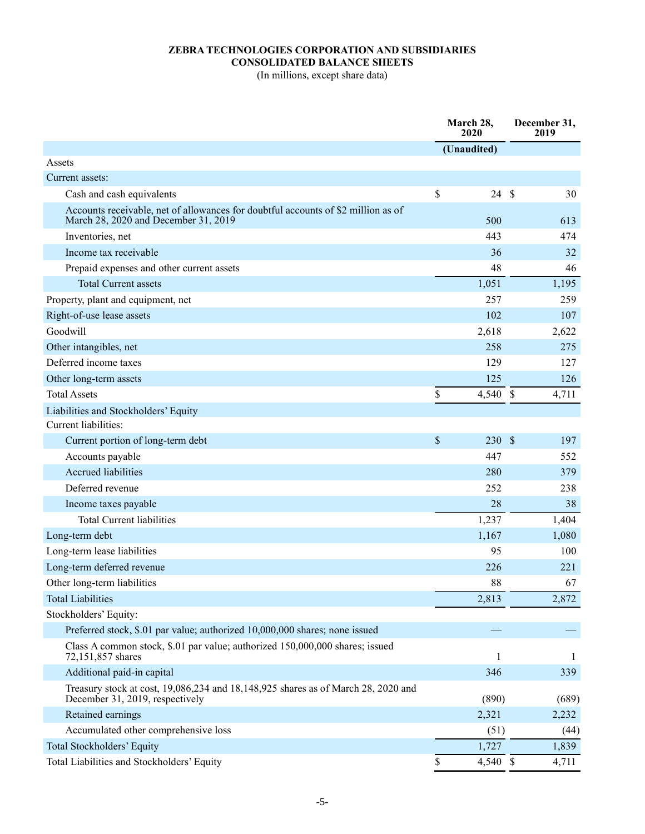# **ZEBRA TECHNOLOGIES CORPORATION AND SUBSIDIARIES CONSOLIDATED BALANCE SHEETS**

(In millions, except share data)

|                                                                                                                           | March 28,<br>2020 |             |      | December 31,<br>2019 |
|---------------------------------------------------------------------------------------------------------------------------|-------------------|-------------|------|----------------------|
|                                                                                                                           |                   | (Unaudited) |      |                      |
| Assets                                                                                                                    |                   |             |      |                      |
| Current assets:                                                                                                           |                   |             |      |                      |
| Cash and cash equivalents                                                                                                 | \$                | 24S         |      | 30                   |
| Accounts receivable, net of allowances for doubtful accounts of \$2 million as of<br>March 28, 2020 and December 31, 2019 |                   | 500         |      | 613                  |
| Inventories, net                                                                                                          |                   | 443         |      | 474                  |
| Income tax receivable                                                                                                     |                   | 36          |      | 32                   |
| Prepaid expenses and other current assets                                                                                 |                   | 48          |      | 46                   |
| <b>Total Current assets</b>                                                                                               |                   | 1,051       |      | 1,195                |
| Property, plant and equipment, net                                                                                        |                   | 257         |      | 259                  |
| Right-of-use lease assets                                                                                                 |                   | 102         |      | 107                  |
| Goodwill                                                                                                                  |                   | 2,618       |      | 2,622                |
| Other intangibles, net                                                                                                    |                   | 258         |      | 275                  |
| Deferred income taxes                                                                                                     |                   | 129         |      | 127                  |
| Other long-term assets                                                                                                    |                   | 125         |      | 126                  |
| <b>Total Assets</b>                                                                                                       | \$                | 4,540 \$    |      | 4,711                |
| Liabilities and Stockholders' Equity                                                                                      |                   |             |      |                      |
| Current liabilities:                                                                                                      |                   |             |      |                      |
| Current portion of long-term debt                                                                                         | \$                | 230         | - \$ | 197                  |
| Accounts payable                                                                                                          |                   | 447         |      | 552                  |
| <b>Accrued liabilities</b>                                                                                                |                   | 280         |      | 379                  |
| Deferred revenue                                                                                                          |                   | 252         |      | 238                  |
| Income taxes payable                                                                                                      |                   | 28          |      | 38                   |
| <b>Total Current liabilities</b>                                                                                          |                   | 1,237       |      | 1,404                |
| Long-term debt                                                                                                            |                   | 1,167       |      | 1,080                |
| Long-term lease liabilities                                                                                               |                   | 95          |      | 100                  |
| Long-term deferred revenue                                                                                                |                   | 226         |      | 221                  |
| Other long-term liabilities                                                                                               |                   | 88          |      | 67                   |
| <b>Total Liabilities</b>                                                                                                  |                   | 2,813       |      | 2,872                |
| Stockholders' Equity:                                                                                                     |                   |             |      |                      |
| Preferred stock, \$.01 par value; authorized 10,000,000 shares; none issued                                               |                   |             |      |                      |
| Class A common stock, \$.01 par value; authorized 150,000,000 shares; issued<br>72,151,857 shares                         |                   | 1           |      | 1                    |
| Additional paid-in capital                                                                                                |                   | 346         |      | 339                  |
| Treasury stock at cost, 19,086,234 and 18,148,925 shares as of March 28, 2020 and<br>December 31, 2019, respectively      |                   | (890)       |      | (689)                |
| Retained earnings                                                                                                         |                   | 2,321       |      | 2,232                |
| Accumulated other comprehensive loss                                                                                      |                   | (51)        |      | (44)                 |
| Total Stockholders' Equity                                                                                                |                   | 1,727       |      | 1,839                |
| Total Liabilities and Stockholders' Equity                                                                                | \$                | 4,540 \$    |      | 4,711                |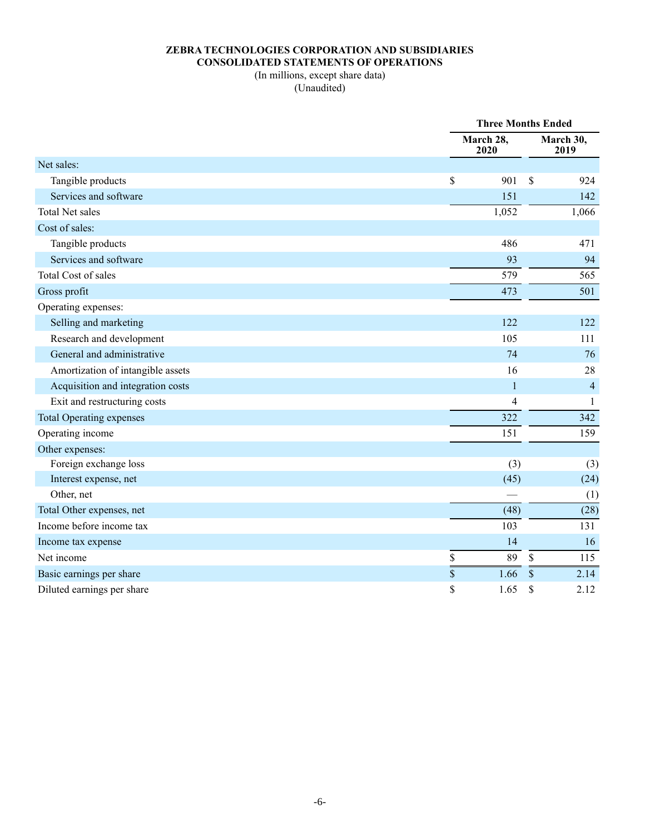# **ZEBRA TECHNOLOGIES CORPORATION AND SUBSIDIARIES CONSOLIDATED STATEMENTS OF OPERATIONS**

(In millions, except share data) (Unaudited)

|                                   |                   | <b>Three Months Ended</b> |  |  |  |
|-----------------------------------|-------------------|---------------------------|--|--|--|
|                                   | March 28,<br>2020 | March 30,<br>2019         |  |  |  |
| Net sales:                        |                   |                           |  |  |  |
| Tangible products                 | \$<br>901         | \$<br>924                 |  |  |  |
| Services and software             | 151               | 142                       |  |  |  |
| <b>Total Net sales</b>            | 1,052             | 1,066                     |  |  |  |
| Cost of sales:                    |                   |                           |  |  |  |
| Tangible products                 | 486               | 471                       |  |  |  |
| Services and software             | 93                | 94                        |  |  |  |
| Total Cost of sales               | 579               | 565                       |  |  |  |
| Gross profit                      | 473               | 501                       |  |  |  |
| Operating expenses:               |                   |                           |  |  |  |
| Selling and marketing             | 122               | 122                       |  |  |  |
| Research and development          | 105               | 111                       |  |  |  |
| General and administrative        | 74                | 76                        |  |  |  |
| Amortization of intangible assets | 16                | 28                        |  |  |  |
| Acquisition and integration costs | $\mathbf{1}$      | $\overline{4}$            |  |  |  |
| Exit and restructuring costs      | $\overline{4}$    | 1                         |  |  |  |
| <b>Total Operating expenses</b>   | 322               | 342                       |  |  |  |
| Operating income                  | 151               | 159                       |  |  |  |
| Other expenses:                   |                   |                           |  |  |  |
| Foreign exchange loss             | (3)               | (3)                       |  |  |  |
| Interest expense, net             | (45)              | (24)                      |  |  |  |
| Other, net                        |                   | (1)                       |  |  |  |
| Total Other expenses, net         | (48)              | (28)                      |  |  |  |
| Income before income tax          | 103               | 131                       |  |  |  |
| Income tax expense                | 14                | 16                        |  |  |  |
| Net income                        | $\mathbb S$<br>89 | \$<br>115                 |  |  |  |
| Basic earnings per share          | \$<br>1.66        | $\mathcal{S}$<br>2.14     |  |  |  |
| Diluted earnings per share        | \$<br>1.65        | \$<br>2.12                |  |  |  |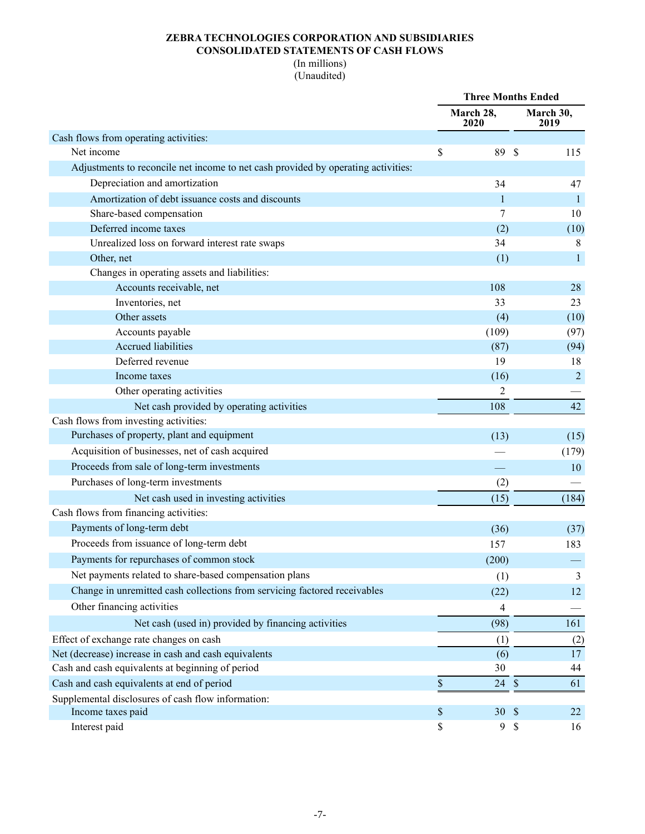# **ZEBRA TECHNOLOGIES CORPORATION AND SUBSIDIARIES CONSOLIDATED STATEMENTS OF CASH FLOWS**

# (In millions)

(Unaudited)

|                                                                                                 | <b>Three Months Ended</b> |                   |      |                   |
|-------------------------------------------------------------------------------------------------|---------------------------|-------------------|------|-------------------|
|                                                                                                 |                           | March 28,<br>2020 |      | March 30,<br>2019 |
| Cash flows from operating activities:                                                           |                           |                   |      |                   |
| Net income                                                                                      | \$                        | 89                | - \$ | 115               |
| Adjustments to reconcile net income to net cash provided by operating activities:               |                           |                   |      |                   |
| Depreciation and amortization                                                                   |                           | 34                |      | 47                |
| Amortization of debt issuance costs and discounts                                               |                           | $\mathbf{1}$      |      | $\mathbf{1}$      |
| Share-based compensation                                                                        |                           | 7                 |      | 10                |
| Deferred income taxes                                                                           |                           | (2)               |      | (10)              |
| Unrealized loss on forward interest rate swaps                                                  |                           | 34                |      | 8                 |
| Other, net                                                                                      |                           | (1)               |      | $\mathbf{1}$      |
| Changes in operating assets and liabilities:                                                    |                           |                   |      |                   |
| Accounts receivable, net                                                                        |                           | 108               |      | 28                |
| Inventories, net                                                                                |                           | 33                |      | 23                |
| Other assets                                                                                    |                           | (4)               |      | (10)              |
| Accounts payable                                                                                |                           | (109)             |      | (97)              |
| <b>Accrued liabilities</b>                                                                      |                           | (87)              |      | (94)              |
| Deferred revenue                                                                                |                           | 19                |      | 18                |
| Income taxes                                                                                    |                           | (16)              |      | $\overline{2}$    |
| Other operating activities                                                                      |                           | $\overline{2}$    |      |                   |
| Net cash provided by operating activities                                                       |                           | 108               |      | 42                |
| Cash flows from investing activities:                                                           |                           |                   |      |                   |
| Purchases of property, plant and equipment                                                      |                           | (13)              |      | (15)              |
| Acquisition of businesses, net of cash acquired                                                 |                           |                   |      | (179)             |
| Proceeds from sale of long-term investments                                                     |                           |                   |      | 10                |
| Purchases of long-term investments                                                              |                           | (2)               |      |                   |
| Net cash used in investing activities                                                           |                           | (15)              |      | (184)             |
| Cash flows from financing activities:                                                           |                           |                   |      |                   |
| Payments of long-term debt                                                                      |                           | (36)              |      | (37)              |
| Proceeds from issuance of long-term debt                                                        |                           | 157               |      | 183               |
| Payments for repurchases of common stock                                                        |                           | (200)             |      |                   |
| Net payments related to share-based compensation plans                                          |                           | (1)               |      | 3                 |
| Change in unremitted cash collections from servicing factored receivables                       |                           | (22)              |      | 12                |
| Other financing activities                                                                      |                           | 4                 |      |                   |
| Net cash (used in) provided by financing activities                                             |                           | (98)              |      | 161               |
|                                                                                                 |                           |                   |      |                   |
| Effect of exchange rate changes on cash<br>Net (decrease) increase in cash and cash equivalents |                           | (1)<br>(6)        |      | (2)<br>17         |
| Cash and cash equivalents at beginning of period                                                |                           | 30                |      | 44                |
| Cash and cash equivalents at end of period                                                      | \$                        | 24S               |      | 61                |
| Supplemental disclosures of cash flow information:                                              |                           |                   |      |                   |
| Income taxes paid                                                                               | \$                        | 30S               |      | 22                |
| Interest paid                                                                                   | \$                        | 9S                |      | 16                |
|                                                                                                 |                           |                   |      |                   |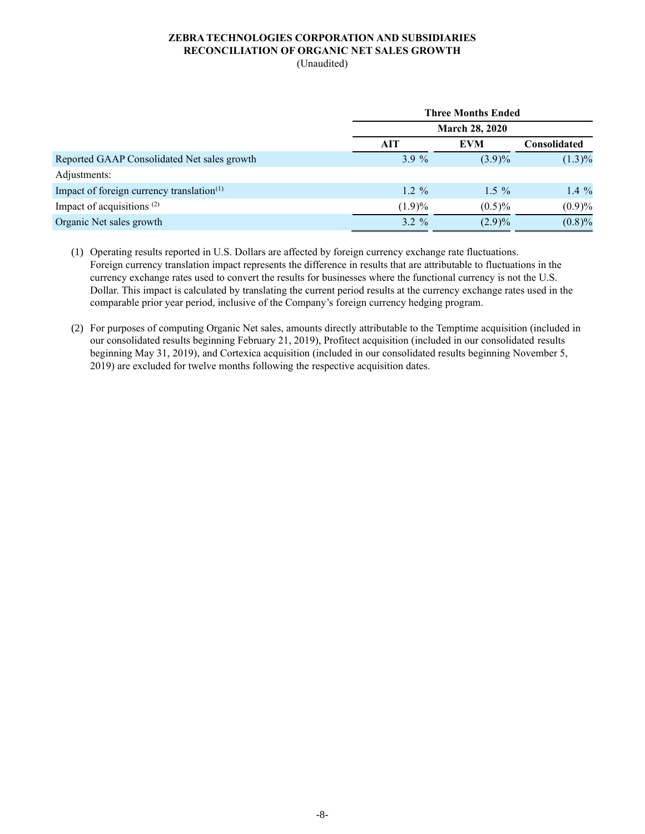#### **ZEBRA TECHNOLOGIES CORPORATION AND SUBSIDIARIES RECONCILIATION OF ORGANIC NET SALES GROWTH** (Unaudited)

|                                                       |          | <b>Three Months Ended</b> |              |  |  |  |  |
|-------------------------------------------------------|----------|---------------------------|--------------|--|--|--|--|
|                                                       |          | <b>March 28, 2020</b>     |              |  |  |  |  |
|                                                       | AIT      | <b>EVM</b>                | Consolidated |  |  |  |  |
| Reported GAAP Consolidated Net sales growth           | $3.9\%$  | $(3.9)\%$                 | $(1.3)\%$    |  |  |  |  |
| Adjustments:                                          |          |                           |              |  |  |  |  |
| Impact of foreign currency translation <sup>(1)</sup> | $1.2 \%$ | $1.5\%$                   | 1.4 $\%$     |  |  |  |  |
| Impact of acquisitions $(2)$                          | (1.9)%   | $(0.5)\%$                 | (0.9)%       |  |  |  |  |
| Organic Net sales growth                              | $3.2 \%$ | $(2.9)\%$                 | (0.8)%       |  |  |  |  |

(1) Operating results reported in U.S. Dollars are affected by foreign currency exchange rate fluctuations. Foreign currency translation impact represents the difference in results that are attributable to fluctuations in the currency exchange rates used to convert the results for businesses where the functional currency is not the U.S. Dollar. This impact is calculated by translating the current period results at the currency exchange rates used in the comparable prior year period, inclusive of the Company's foreign currency hedging program.

(2) For purposes of computing Organic Net sales, amounts directly attributable to the Temptime acquisition (included in our consolidated results beginning February 21, 2019), Profitect acquisition (included in our consolidated results beginning May 31, 2019), and Cortexica acquisition (included in our consolidated results beginning November 5, 2019) are excluded for twelve months following the respective acquisition dates.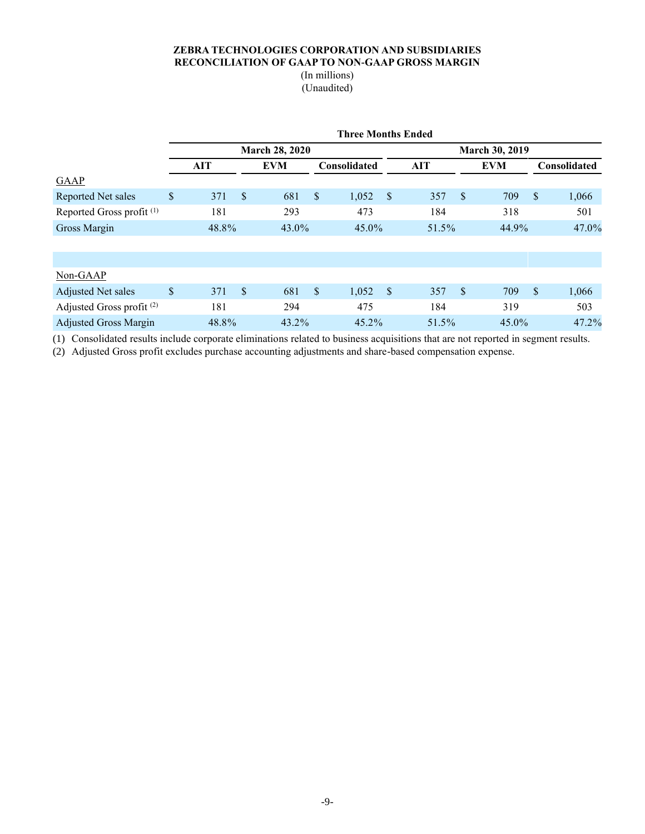#### **ZEBRA TECHNOLOGIES CORPORATION AND SUBSIDIARIES RECONCILIATION OF GAAP TO NON-GAAP GROSS MARGIN**

(In millions) (Unaudited)

|                                      | <b>Three Months Ended</b> |       |              |            |                           |                       |              |       |               |            |              |                     |
|--------------------------------------|---------------------------|-------|--------------|------------|---------------------------|-----------------------|--------------|-------|---------------|------------|--------------|---------------------|
|                                      | <b>March 28, 2020</b>     |       |              |            |                           | <b>March 30, 2019</b> |              |       |               |            |              |                     |
|                                      |                           | AIT   |              | <b>EVM</b> |                           | Consolidated          |              | AIT   |               | <b>EVM</b> |              | <b>Consolidated</b> |
| <b>GAAP</b>                          |                           |       |              |            |                           |                       |              |       |               |            |              |                     |
| Reported Net sales                   | $\mathbb{S}$              | 371   | $\mathbb{S}$ | 681        | $\boldsymbol{\mathsf{S}}$ | 1,052                 | <sup>S</sup> | 357   | $\mathbb{S}$  | 709        | \$           | 1,066               |
| Reported Gross profit <sup>(1)</sup> |                           | 181   |              | 293        |                           | 473                   |              | 184   |               | 318        |              | 501                 |
| Gross Margin                         |                           | 48.8% |              | 43.0%      |                           | 45.0%                 |              | 51.5% |               | 44.9%      |              | 47.0%               |
|                                      |                           |       |              |            |                           |                       |              |       |               |            |              |                     |
|                                      |                           |       |              |            |                           |                       |              |       |               |            |              |                     |
| Non-GAAP                             |                           |       |              |            |                           |                       |              |       |               |            |              |                     |
| <b>Adjusted Net sales</b>            | \$                        | 371   | $\mathbb{S}$ | 681        | \$                        | 1,052                 | <sup>S</sup> | 357   | $\mathcal{S}$ | 709        | $\mathbb{S}$ | 1,066               |
| Adjusted Gross profit <sup>(2)</sup> |                           | 181   |              | 294        |                           | 475                   |              | 184   |               | 319        |              | 503                 |
| <b>Adjusted Gross Margin</b>         |                           | 48.8% |              | 43.2%      |                           | 45.2%                 |              | 51.5% |               | 45.0%      |              | 47.2%               |

(1) Consolidated results include corporate eliminations related to business acquisitions that are not reported in segment results.

(2) Adjusted Gross profit excludes purchase accounting adjustments and share-based compensation expense.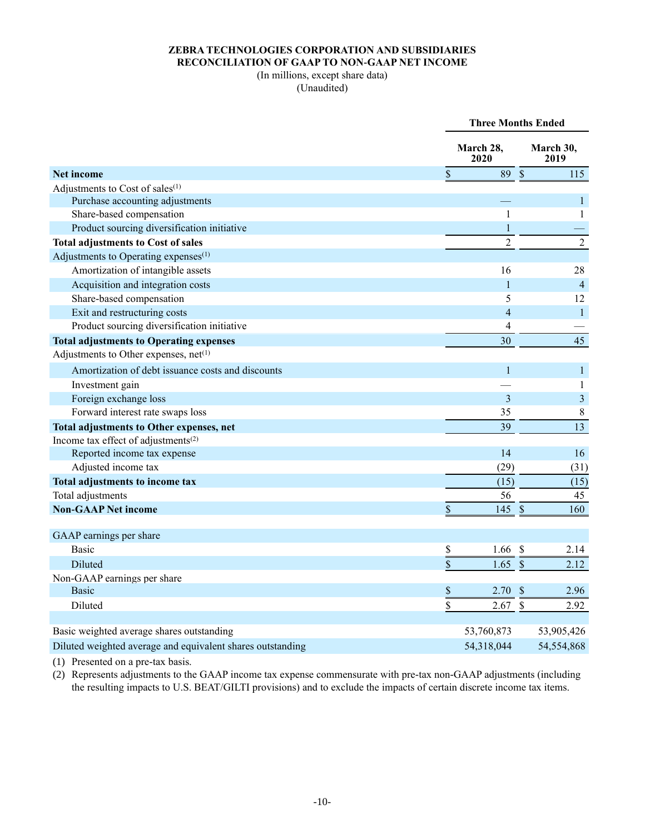#### **ZEBRA TECHNOLOGIES CORPORATION AND SUBSIDIARIES RECONCILIATION OF GAAP TO NON-GAAP NET INCOME**

(In millions, except share data) (Unaudited)

|                                                            | <b>Three Months Ended</b> |                           |                   |  |
|------------------------------------------------------------|---------------------------|---------------------------|-------------------|--|
|                                                            | March 28,<br>2020         |                           | March 30,<br>2019 |  |
| <b>Net income</b>                                          | \$<br>89                  | $\mathcal{S}$             | 115               |  |
| Adjustments to Cost of sales <sup>(1)</sup>                |                           |                           |                   |  |
| Purchase accounting adjustments                            |                           |                           | $\mathbf{1}$      |  |
| Share-based compensation                                   | 1                         |                           | $\mathbf{1}$      |  |
| Product sourcing diversification initiative                | $\,1\,$                   |                           |                   |  |
| <b>Total adjustments to Cost of sales</b>                  | $\overline{c}$            |                           | $\overline{2}$    |  |
| Adjustments to Operating expenses <sup>(1)</sup>           |                           |                           |                   |  |
| Amortization of intangible assets                          | 16                        |                           | 28                |  |
| Acquisition and integration costs                          | $\mathbf{1}$              |                           | $\overline{4}$    |  |
| Share-based compensation                                   | 5                         |                           | 12                |  |
| Exit and restructuring costs                               | $\overline{4}$            |                           | $\mathbf{1}$      |  |
| Product sourcing diversification initiative                | $\overline{4}$            |                           |                   |  |
| <b>Total adjustments to Operating expenses</b>             | 30                        |                           | 45                |  |
| Adjustments to Other expenses, net <sup>(1)</sup>          |                           |                           |                   |  |
| Amortization of debt issuance costs and discounts          | $\mathbf{1}$              |                           | $\mathbf{1}$      |  |
| Investment gain                                            |                           |                           | $\mathbf{1}$      |  |
| Foreign exchange loss                                      | 3                         |                           | $\overline{3}$    |  |
| Forward interest rate swaps loss                           | 35                        |                           | $\,8\,$           |  |
| Total adjustments to Other expenses, net                   | 39                        |                           | 13                |  |
| Income tax effect of adjustments <sup>(2)</sup>            |                           |                           |                   |  |
| Reported income tax expense                                | 14                        |                           | 16                |  |
| Adjusted income tax                                        | (29)                      |                           | (31)              |  |
| Total adjustments to income tax                            | (15)                      |                           | (15)              |  |
| Total adjustments                                          | 56                        |                           | 45                |  |
| <b>Non-GAAP Net income</b>                                 | \$<br>145 \$              |                           | 160               |  |
| GAAP earnings per share                                    |                           |                           |                   |  |
| Basic                                                      | \$<br>1.66                | $\mathbb{S}$              | 2.14              |  |
| Diluted                                                    | \$<br>1.65                | $\mathbb S$               | 2.12              |  |
| Non-GAAP earnings per share                                |                           |                           |                   |  |
| <b>Basic</b>                                               | \$<br>2.70                | $\boldsymbol{\mathsf{S}}$ | 2.96              |  |
| Diluted                                                    | \$<br>2.67                | $\mathbf{\underline{\$}}$ | 2.92              |  |
|                                                            |                           |                           |                   |  |
| Basic weighted average shares outstanding                  | 53,760,873                |                           | 53,905,426        |  |
| Diluted weighted average and equivalent shares outstanding | 54,318,044                |                           | 54,554,868        |  |

(1) Presented on a pre-tax basis.

(2) Represents adjustments to the GAAP income tax expense commensurate with pre-tax non-GAAP adjustments (including the resulting impacts to U.S. BEAT/GILTI provisions) and to exclude the impacts of certain discrete income tax items.